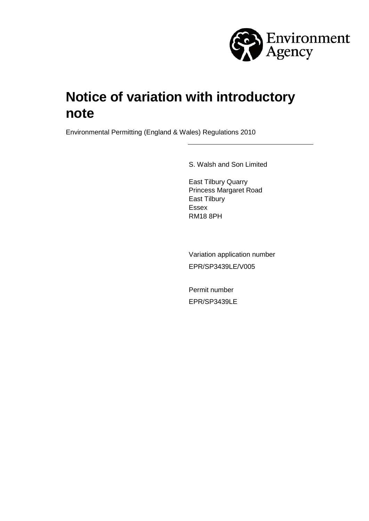

# **Notice of variation with introductory note**

Environmental Permitting (England & Wales) Regulations 2010

S. Walsh and Son Limited

East Tilbury Quarry Princess Margaret Road East Tilbury Essex RM18 8PH

Variation application number EPR/SP3439LE/V005

Permit number EPR/SP3439LE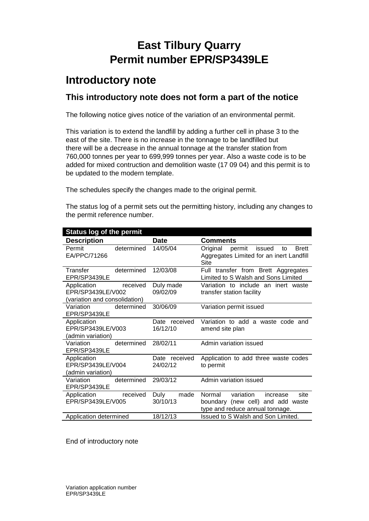# **East Tilbury Quarry Permit number EPR/SP3439LE**

## **Introductory note**

## **This introductory note does not form a part of the notice**

The following notice gives notice of the variation of an environmental permit.

This variation is to extend the landfill by adding a further cell in phase 3 to the east of the site. There is no increase in the tonnage to be landfilled but there will be a decrease in the annual tonnage at the transfer station from 760,000 tonnes per year to 699,999 tonnes per year. Also a waste code is to be added for mixed contruction and demolition waste (17 09 04) and this permit is to be updated to the modern template.

The schedules specify the changes made to the original permit.

The status log of a permit sets out the permitting history, including any changes to the permit reference number.

| <b>Status log of the permit</b> |               |                                                    |  |
|---------------------------------|---------------|----------------------------------------------------|--|
| <b>Description</b>              | <b>Date</b>   | <b>Comments</b>                                    |  |
| determined<br>Permit            | 14/05/04      | Original<br>permit<br>issued<br><b>Brett</b><br>to |  |
| EA/PPC/71266                    |               | Aggregates Limited for an inert Landfill<br>Site   |  |
| determined<br>Transfer          | 12/03/08      | Full transfer from Brett Aggregates                |  |
| EPR/SP3439LE                    |               | Limited to S Walsh and Sons Limited                |  |
| received<br>Application         | Duly made     | Variation to include an inert waste                |  |
| EPR/SP3439LE/V002               | 09/02/09      | transfer station facility                          |  |
| (variation and consolidation)   |               |                                                    |  |
| determined<br>Variation         | 30/06/09      | Variation permit issued                            |  |
| EPR/SP3439LE                    |               |                                                    |  |
| Application                     | Date received | Variation to add a waste code and                  |  |
| EPR/SP3439LE/V003               | 16/12/10      | amend site plan                                    |  |
| (admin variation)               |               |                                                    |  |
| determined<br>Variation         | 28/02/11      | Admin variation issued                             |  |
| EPR/SP3439LE                    |               |                                                    |  |
| Application                     | Date received | Application to add three waste codes               |  |
| EPR/SP3439LE/V004               | 24/02/12      | to permit                                          |  |
| (admin variation)               |               |                                                    |  |
| determined<br>Variation         | 29/03/12      | Admin variation issued                             |  |
| EPR/SP3439LE                    |               |                                                    |  |
| Application<br>received         | Duly<br>made  | variation<br>Normal<br>increase<br>site            |  |
| EPR/SP3439LE/V005               | 30/10/13      | boundary (new cell) and add waste                  |  |
|                                 |               | type and reduce annual tonnage.                    |  |
| Application determined          | 18/12/13      | Issued to S Walsh and Son Limited.                 |  |

End of introductory note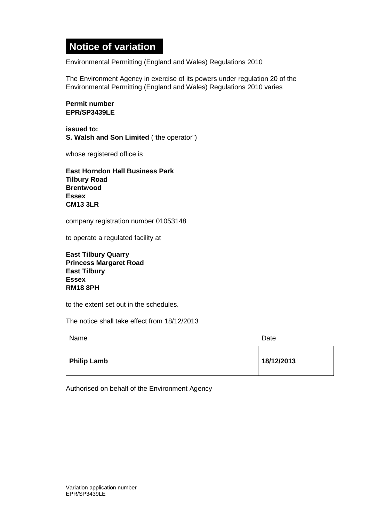## **Notice of variation**

Environmental Permitting (England and Wales) Regulations 2010

The Environment Agency in exercise of its powers under regulation 20 of the Environmental Permitting (England and Wales) Regulations 2010 varies

#### **Permit number EPR/SP3439LE**

**issued to: S. Walsh and Son Limited** ("the operator")

whose registered office is

**East Horndon Hall Business Park Tilbury Road Brentwood Essex CM13 3LR**

company registration number 01053148

to operate a regulated facility at

**East Tilbury Quarry Princess Margaret Road East Tilbury Essex RM18 8PH**

to the extent set out in the schedules.

The notice shall take effect from 18/12/2013

| Name               | Date       |  |
|--------------------|------------|--|
| <b>Philip Lamb</b> | 18/12/2013 |  |

Authorised on behalf of the Environment Agency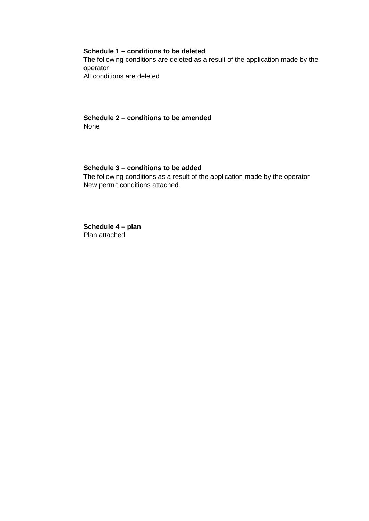#### **Schedule 1 – conditions to be deleted**

The following conditions are deleted as a result of the application made by the operator All conditions are deleted

#### **Schedule 2 – conditions to be amended**  None

#### **Schedule 3 – conditions to be added**

The following conditions as a result of the application made by the operator New permit conditions attached.

**Schedule 4 – plan**  Plan attached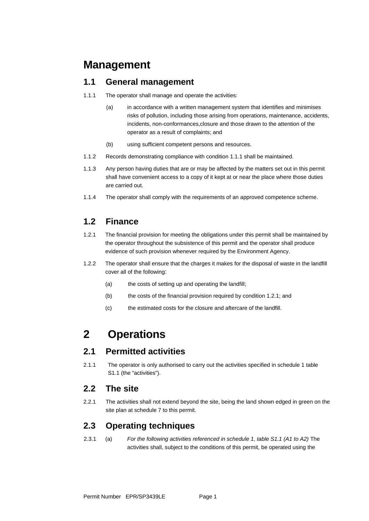## **Management**

### **1.1 General management**

- 1.1.1 The operator shall manage and operate the activities:
	- (a) in accordance with a written management system that identifies and minimises risks of pollution, including those arising from operations, maintenance, accidents, incidents, non-conformances,closure and those drawn to the attention of the operator as a result of complaints; and
	- (b) using sufficient competent persons and resources.
- 1.1.2 Records demonstrating compliance with condition 1.1.1 shall be maintained.
- 1.1.3 Any person having duties that are or may be affected by the matters set out in this permit shall have convenient access to a copy of it kept at or near the place where those duties are carried out.
- 1.1.4 The operator shall comply with the requirements of an approved competence scheme.

## **1.2 Finance**

- 1.2.1 The financial provision for meeting the obligations under this permit shall be maintained by the operator throughout the subsistence of this permit and the operator shall produce evidence of such provision whenever required by the Environment Agency.
- 1.2.2 The operator shall ensure that the charges it makes for the disposal of waste in the landfill cover all of the following:
	- (a) the costs of setting up and operating the landfill;
	- (b) the costs of the financial provision required by condition 1.2.1; and
	- (c) the estimated costs for the closure and aftercare of the landfill.

## **2 Operations**

## **2.1 Permitted activities**

2.1.1 The operator is only authorised to carry out the activities specified in schedule 1 table S1.1 (the "activities").

#### **2.2 The site**

2.2.1 The activities shall not extend beyond the site, being the land shown edged in green on the site plan at schedule 7 to this permit.

## **2.3 Operating techniques**

2.3.1 (a) *For the following activities referenced in schedule 1, table S1.1 (A1 to A2)* The activities shall, subject to the conditions of this permit, be operated using the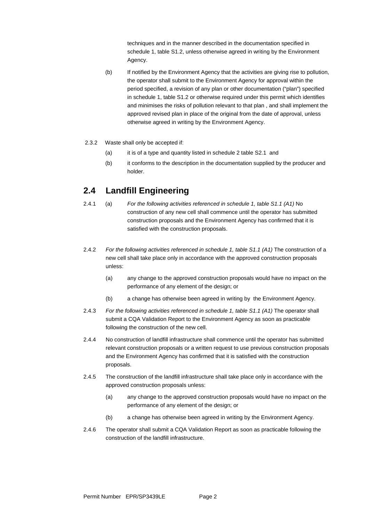techniques and in the manner described in the documentation specified in schedule 1, table S1.2, unless otherwise agreed in writing by the Environment Agency.

- (b) If notified by the Environment Agency that the activities are giving rise to pollution, the operator shall submit to the Environment Agency for approval within the period specified, a revision of any plan or other documentation ("plan") specified in schedule 1, table S1.2 or otherwise required under this permit which identifies and minimises the risks of pollution relevant to that plan , and shall implement the approved revised plan in place of the original from the date of approval, unless otherwise agreed in writing by the Environment Agency.
- 2.3.2 Waste shall only be accepted if:
	- (a) it is of a type and quantity listed in schedule 2 table S2.1 and
	- (b) it conforms to the description in the documentation supplied by the producer and holder.

### **2.4 Landfill Engineering**

- 2.4.1 (a) *For the following activities referenced in schedule 1, table S1.1 (A1)* No construction of any new cell shall commence until the operator has submitted construction proposals and the Environment Agency has confirmed that it is satisfied with the construction proposals.
- 2.4.2 *For the following activities referenced in schedule 1, table S1.1 (A1)* The construction of a new cell shall take place only in accordance with the approved construction proposals unless:
	- (a) any change to the approved construction proposals would have no impact on the performance of any element of the design; or
	- (b) a change has otherwise been agreed in writing by the Environment Agency.
- 2.4.3 *For the following activities referenced in schedule 1, table S1.1 (A1)* The operator shall submit a CQA Validation Report to the Environment Agency as soon as practicable following the construction of the new cell.
- 2.4.4 No construction of landfill infrastructure shall commence until the operator has submitted relevant construction proposals or a written request to use previous construction proposals and the Environment Agency has confirmed that it is satisfied with the construction proposals.
- 2.4.5 The construction of the landfill infrastructure shall take place only in accordance with the approved construction proposals unless:
	- (a) any change to the approved construction proposals would have no impact on the performance of any element of the design; or
	- (b) a change has otherwise been agreed in writing by the Environment Agency.
- 2.4.6 The operator shall submit a CQA Validation Report as soon as practicable following the construction of the landfill infrastructure.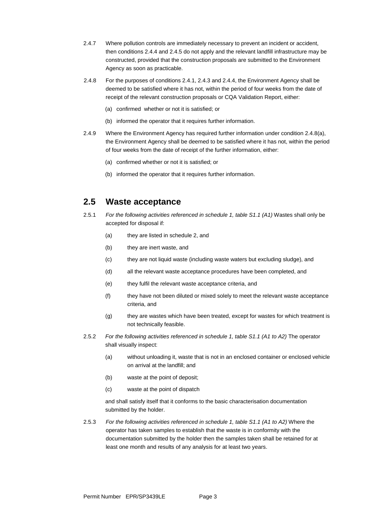- 2.4.7 Where pollution controls are immediately necessary to prevent an incident or accident, then conditions 2.4.4 and 2.4.5 do not apply and the relevant landfill infrastructure may be constructed, provided that the construction proposals are submitted to the Environment Agency as soon as practicable.
- 2.4.8 For the purposes of conditions 2.4.1, 2.4.3 and 2.4.4, the Environment Agency shall be deemed to be satisfied where it has not, within the period of four weeks from the date of receipt of the relevant construction proposals or CQA Validation Report, either:
	- (a) confirmed whether or not it is satisfied; or
	- (b) informed the operator that it requires further information.
- 2.4.9 Where the Environment Agency has required further information under condition 2.4.8(a), the Environment Agency shall be deemed to be satisfied where it has not, within the period of four weeks from the date of receipt of the further information, either:
	- (a) confirmed whether or not it is satisfied; or
	- (b) informed the operator that it requires further information.

### **2.5 Waste acceptance**

- 2.5.1 *For the following activities referenced in schedule 1, table S1.1 (A1)* Wastes shall only be accepted for disposal if:
	- (a) they are listed in schedule 2, and
	- (b) they are inert waste, and
	- (c) they are not liquid waste (including waste waters but excluding sludge), and
	- (d) all the relevant waste acceptance procedures have been completed, and
	- (e) they fulfil the relevant waste acceptance criteria, and
	- (f) they have not been diluted or mixed solely to meet the relevant waste acceptance criteria, and
	- (g) they are wastes which have been treated, except for wastes for which treatment is not technically feasible.
- 2.5.2 *For the following activities referenced in schedule 1, table S1.1 (A1 to A2)* The operator shall visually inspect:
	- (a) without unloading it, waste that is not in an enclosed container or enclosed vehicle on arrival at the landfill; and
	- (b) waste at the point of deposit;
	- (c) waste at the point of dispatch

and shall satisfy itself that it conforms to the basic characterisation documentation submitted by the holder.

2.5.3 *For the following activities referenced in schedule 1, table S1.1 (A1 to A2)* Where the operator has taken samples to establish that the waste is in conformity with the documentation submitted by the holder then the samples taken shall be retained for at least one month and results of any analysis for at least two years.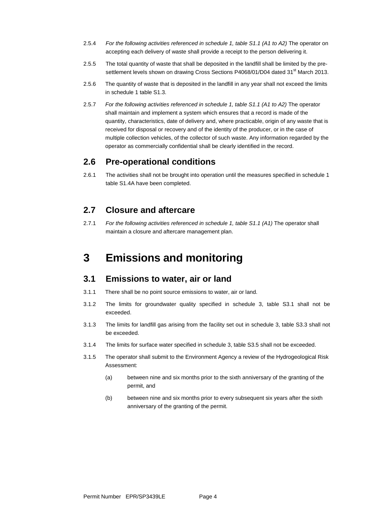- 2.5.4 *For the following activities referenced in schedule 1, table S1.1 (A1 to A2)* The operator on accepting each delivery of waste shall provide a receipt to the person delivering it.
- 2.5.5 The total quantity of waste that shall be deposited in the landfill shall be limited by the presettlement levels shown on drawing Cross Sections P4068/01/D04 dated 31<sup>st</sup> March 2013.
- 2.5.6 The quantity of waste that is deposited in the landfill in any year shall not exceed the limits in schedule 1 table S1.3.
- 2.5.7 *For the following activities referenced in schedule 1, table S1.1 (A1 to A2)* The operator shall maintain and implement a system which ensures that a record is made of the quantity, characteristics, date of delivery and, where practicable, origin of any waste that is received for disposal or recovery and of the identity of the producer, or in the case of multiple collection vehicles, of the collector of such waste. Any information regarded by the operator as commercially confidential shall be clearly identified in the record.

#### **2.6 Pre-operational conditions**

2.6.1 The activities shall not be brought into operation until the measures specified in schedule 1 table S1.4A have been completed.

### **2.7 Closure and aftercare**

2.7.1 *For the following activities referenced in schedule 1, table S1.1 (A1)* The operator shall maintain a closure and aftercare management plan.

## **3 Emissions and monitoring**

#### **3.1 Emissions to water, air or land**

- 3.1.1 There shall be no point source emissions to water, air or land.
- 3.1.2 The limits for groundwater quality specified in schedule 3, table S3.1 shall not be exceeded.
- 3.1.3 The limits for landfill gas arising from the facility set out in schedule 3, table S3.3 shall not be exceeded.
- 3.1.4 The limits for surface water specified in schedule 3, table S3.5 shall not be exceeded.
- 3.1.5 The operator shall submit to the Environment Agency a review of the Hydrogeological Risk Assessment:
	- (a) between nine and six months prior to the sixth anniversary of the granting of the permit, and
	- (b) between nine and six months prior to every subsequent six years after the sixth anniversary of the granting of the permit.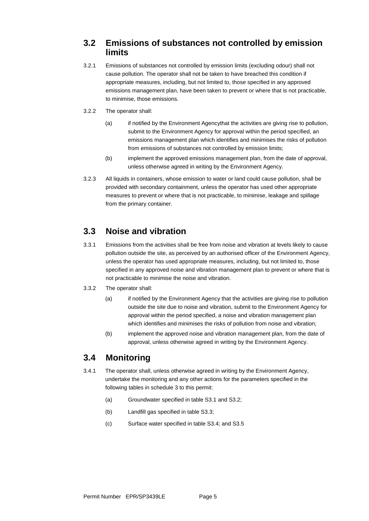## **3.2 Emissions of substances not controlled by emission limits**

- 3.2.1 Emissions of substances not controlled by emission limits (excluding odour) shall not cause pollution. The operator shall not be taken to have breached this condition if appropriate measures, including, but not limited to, those specified in any approved emissions management plan, have been taken to prevent or where that is not practicable, to minimise, those emissions.
- 3.2.2 The operator shall:
	- (a) if notified by the Environment Agencythat the activities are giving rise to pollution, submit to the Environment Agency for approval within the period specified, an emissions management plan which identifies and minimises the risks of pollution from emissions of substances not controlled by emission limits;
	- (b) implement the approved emissions management plan, from the date of approval, unless otherwise agreed in writing by the Environment Agency.
- 3.2.3 All liquids in containers, whose emission to water or land could cause pollution, shall be provided with secondary containment, unless the operator has used other appropriate measures to prevent or where that is not practicable, to minimise, leakage and spillage from the primary container.

## **3.3 Noise and vibration**

- 3.3.1 Emissions from the activities shall be free from noise and vibration at levels likely to cause pollution outside the site, as perceived by an authorised officer of the Environment Agency, unless the operator has used appropriate measures, including, but not limited to, those specified in any approved noise and vibration management plan to prevent or where that is not practicable to minimise the noise and vibration.
- 3.3.2 The operator shall:
	- (a) if notified by the Environment Agency that the activities are giving rise to pollution outside the site due to noise and vibration, submit to the Environment Agency for approval within the period specified, a noise and vibration management plan which identifies and minimises the risks of pollution from noise and vibration;
	- (b) implement the approved noise and vibration management plan, from the date of approval, unless otherwise agreed in writing by the Environment Agency.

## **3.4 Monitoring**

- 3.4.1 The operator shall, unless otherwise agreed in writing by the Environment Agency, undertake the monitoring and any other actions for the parameters specified in the following tables in schedule 3 to this permit:
	- (a) Groundwater specified in table S3.1 and S3.2;
	- (b) Landfill gas specified in table S3.3;
	- (c) Surface water specified in table S3.4; and S3.5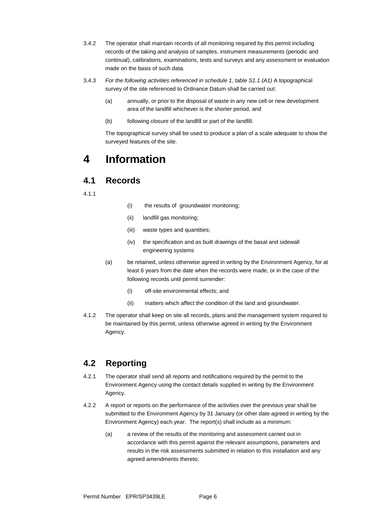- 3.4.2 The operator shall maintain records of all monitoring required by this permit including records of the taking and analysis of samples, instrument measurements (periodic and continual), calibrations, examinations, tests and surveys and any assessment or evaluation made on the basis of such data.
- 3.4.3 *For the following activities referenced in schedule 1, table S1.1 (A1)* A topographical survey of the site referenced to Ordnance Datum shall be carried out:
	- (a) annually, or prior to the disposal of waste in any new cell or new development area of the landfill whichever is the shorter period, and
	- (b) following closure of the landfill or part of the landfill.

The topographical survey shall be used to produce a plan of a scale adequate to show the surveyed features of the site.

## **4 Information**

### **4.1 Records**

4.1.1

- (i) the results of groundwater monitoring;
- (ii) landfill gas monitoring;
- (iii) waste types and quantities;
- (iv) the specification and as built drawings of the basal and sidewall engineering systems
- (a) be retained, unless otherwise agreed in writing by the Environment Agency, for at least 6 years from the date when the records were made, or in the case of the following records until permit surrender:
	- (i) off-site environmental effects; and
	- (ii) matters which affect the condition of the land and groundwater.
- 4.1.2 The operator shall keep on site all records, plans and the management system required to be maintained by this permit, unless otherwise agreed in writing by the Environment Agency.

## **4.2 Reporting**

- 4.2.1 The operator shall send all reports and notifications required by the permit to the Environment Agency using the contact details supplied in writing by the Environment Agency.
- 4.2.2 A report or reports on the performance of the activities over the previous year shall be submitted to the Environment Agency by 31 January (or other date agreed in writing by the Environment Agency) each year. The report(s) shall include as a minimum:
	- (a) a review of the results of the monitoring and assessment carried out in accordance with this permit against the relevant assumptions, parameters and results in the risk assessments submitted in relation to this installation and any agreed amendments thereto;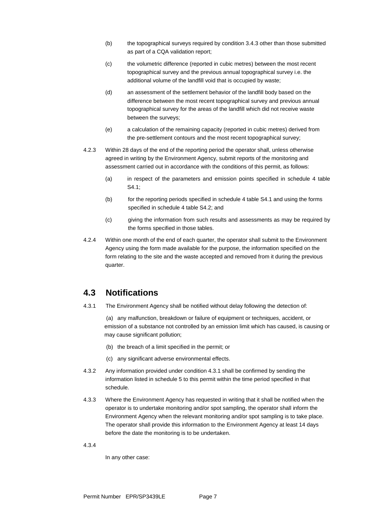- (b) the topographical surveys required by condition 3.4.3 other than those submitted as part of a CQA validation report;
- (c) the volumetric difference (reported in cubic metres) between the most recent topographical survey and the previous annual topographical survey i.e. the additional volume of the landfill void that is occupied by waste;
- (d) an assessment of the settlement behavior of the landfill body based on the difference between the most recent topographical survey and previous annual topographical survey for the areas of the landfill which did not receive waste between the surveys;
- (e) a calculation of the remaining capacity (reported in cubic metres) derived from the pre-settlement contours and the most recent topographical survey;
- 4.2.3 Within 28 days of the end of the reporting period the operator shall, unless otherwise agreed in writing by the Environment Agency, submit reports of the monitoring and assessment carried out in accordance with the conditions of this permit, as follows:
	- (a) in respect of the parameters and emission points specified in schedule 4 table S4.1;
	- (b) for the reporting periods specified in schedule 4 table S4.1 and using the forms specified in schedule 4 table S4.2; and
	- (c) giving the information from such results and assessments as may be required by the forms specified in those tables.
- 4.2.4 Within one month of the end of each quarter, the operator shall submit to the Environment Agency using the form made available for the purpose, the information specified on the form relating to the site and the waste accepted and removed from it during the previous quarter.

## **4.3 Notifications**

4.3.1 The Environment Agency shall be notified without delay following the detection of:

(a) any malfunction, breakdown or failure of equipment or techniques, accident, or emission of a substance not controlled by an emission limit which has caused, is causing or may cause significant pollution;

- (b) the breach of a limit specified in the permit; or
- (c) any significant adverse environmental effects.
- 4.3.2 Any information provided under condition 4.3.1 shall be confirmed by sending the information listed in schedule 5 to this permit within the time period specified in that schedule.
- 4.3.3 Where the Environment Agency has requested in writing that it shall be notified when the operator is to undertake monitoring and/or spot sampling, the operator shall inform the Environment Agency when the relevant monitoring and/or spot sampling is to take place. The operator shall provide this information to the Environment Agency at least 14 days before the date the monitoring is to be undertaken.

4.3.4

In any other case: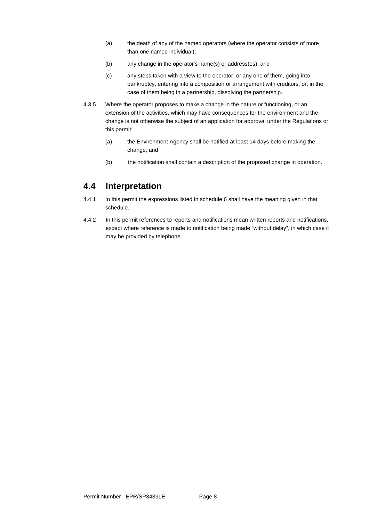- (a) the death of any of the named operators (where the operator consists of more than one named individual);
- (b) any change in the operator's name(s) or address(es); and
- (c) any steps taken with a view to the operator, or any one of them, going into bankruptcy, entering into a composition or arrangement with creditors, or, in the case of them being in a partnership, dissolving the partnership.
- 4.3.5 Where the operator proposes to make a change in the nature or functioning, or an extension of the activities, which may have consequences for the environment and the change is not otherwise the subject of an application for approval under the Regulations or this permit:
	- (a) the Environment Agency shall be notified at least 14 days before making the change; and
	- (b) the notification shall contain a description of the proposed change in operation.

### **4.4 Interpretation**

- 4.4.1 In this permit the expressions listed in schedule 6 shall have the meaning given in that schedule.
- 4.4.2 In this permit references to reports and notifications mean written reports and notifications, except where reference is made to notification being made "without delay", in which case it may be provided by telephone.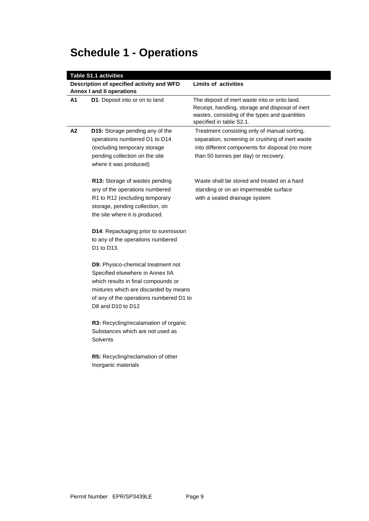# **Schedule 1 - Operations**

| <b>Table S1.1 activities</b> |                                                                                                                                                                                                                               |                                                                                                                                                                                             |  |  |
|------------------------------|-------------------------------------------------------------------------------------------------------------------------------------------------------------------------------------------------------------------------------|---------------------------------------------------------------------------------------------------------------------------------------------------------------------------------------------|--|--|
|                              | Description of specified activity and WFD                                                                                                                                                                                     | <b>Limits of activities</b>                                                                                                                                                                 |  |  |
|                              | <b>Annex I and II operations</b>                                                                                                                                                                                              |                                                                                                                                                                                             |  |  |
| A1                           | D1: Deposit into or on to land                                                                                                                                                                                                | The deposit of inert waste into or onto land.<br>Receipt, handling, storage and disposal of inert<br>wastes, consisting of the types and quantities<br>specified in table S2.1.             |  |  |
| A2                           | <b>D15:</b> Storage pending any of the<br>operations numbered D1 to D14<br>(excluding temporary storage<br>pending collection on the site<br>where it was produced)                                                           | Treatment consisting only of manual sorting,<br>separation, screening or crushing of inert waste<br>into different components for disposal (no more<br>than 50 tonnes per day) or recovery. |  |  |
|                              | R13: Storage of wastes pending<br>any of the operations numbered<br>R1 to R12 (excluding temporary<br>storage, pending collection, on<br>the site where it is produced.                                                       | Waste shall be stored and treated on a hard<br>standing or on an impermeable surface<br>with a sealed drainage system                                                                       |  |  |
|                              | <b>D14:</b> Repackaging prior to sunmission<br>to any of the operations numbered<br>D1 to D13.                                                                                                                                |                                                                                                                                                                                             |  |  |
|                              | <b>D9:</b> Physico-chemical treatment not<br>Specified elsewhere in Annex IIA<br>which results in final compounds or<br>mixtures which are discarded by means<br>of any of the operations numbered D1 to<br>D8 and D10 to D12 |                                                                                                                                                                                             |  |  |
|                              | R3: Recycling/recalamation of organic<br>Substances which are not used as<br><b>Solvents</b>                                                                                                                                  |                                                                                                                                                                                             |  |  |
|                              | <b>R5:</b> Recycling/reclamation of other<br>Inorganic materials                                                                                                                                                              |                                                                                                                                                                                             |  |  |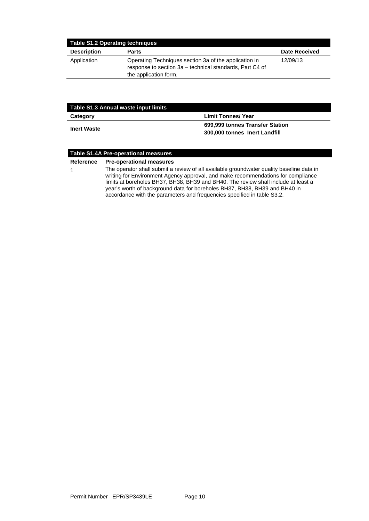| <b>Table S1.2 Operating techniques</b> |                                                                                                                                            |                      |  |
|----------------------------------------|--------------------------------------------------------------------------------------------------------------------------------------------|----------------------|--|
| <b>Description</b>                     | <b>Parts</b>                                                                                                                               | <b>Date Received</b> |  |
| Application                            | Operating Techniques section 3a of the application in<br>response to section 3a – technical standards, Part C4 of<br>the application form. | 12/09/13             |  |

| Table S1.3 Annual waste input limits |                                 |  |
|--------------------------------------|---------------------------------|--|
| Category                             | <b>Limit Tonnes/ Year</b>       |  |
| <b>Inert Waste</b>                   | 699,999 tonnes Transfer Station |  |
|                                      | 300,000 tonnes Inert Landfill   |  |

| <b>Table S1.4A Pre-operational measures</b> |                                                                                                                                                                                                                                                                                                                                                                                                                             |  |  |
|---------------------------------------------|-----------------------------------------------------------------------------------------------------------------------------------------------------------------------------------------------------------------------------------------------------------------------------------------------------------------------------------------------------------------------------------------------------------------------------|--|--|
| Reference                                   | <b>Pre-operational measures</b>                                                                                                                                                                                                                                                                                                                                                                                             |  |  |
|                                             | The operator shall submit a review of all available groundwater quality baseline data in<br>writing for Environment Agency approval, and make recommendations for compliance<br>limits at boreholes BH37, BH38, BH39 and BH40. The review shall include at least a<br>year's worth of background data for boreholes BH37, BH38, BH39 and BH40 in<br>accordance with the parameters and frequencies specified in table S3.2. |  |  |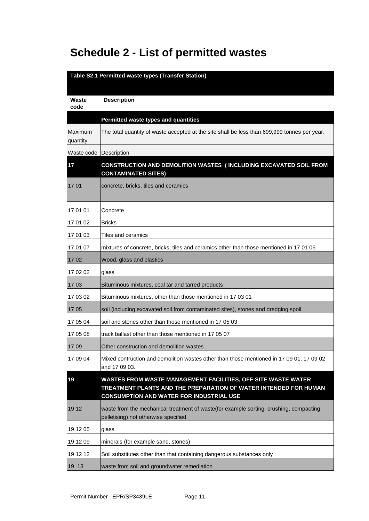# **Schedule 2 - List of permitted wastes**

| Table S2.1 Permitted waste types (Transfer Station) |                                                                                                                                                                                      |  |  |
|-----------------------------------------------------|--------------------------------------------------------------------------------------------------------------------------------------------------------------------------------------|--|--|
|                                                     |                                                                                                                                                                                      |  |  |
| Waste<br>code                                       | <b>Description</b>                                                                                                                                                                   |  |  |
|                                                     |                                                                                                                                                                                      |  |  |
| Maximum                                             | Permitted waste types and quantities<br>The total quantity of waste accepted at the site shall be less than 699,999 tonnes per year.                                                 |  |  |
| quantity                                            |                                                                                                                                                                                      |  |  |
| Waste code Description                              |                                                                                                                                                                                      |  |  |
| 17                                                  | <b>CONSTRUCTION AND DEMOLITION WASTES (INCLUDING EXCAVATED SOIL FROM</b><br><b>CONTAMINATED SITES)</b>                                                                               |  |  |
| 17 01                                               | concrete, bricks, tiles and ceramics                                                                                                                                                 |  |  |
| 17 01 01                                            | Concrete                                                                                                                                                                             |  |  |
| 17 01 02                                            | <b>Bricks</b>                                                                                                                                                                        |  |  |
| 17 01 03                                            | Tiles and ceramics                                                                                                                                                                   |  |  |
| 17 01 07                                            | mixtures of concrete, bricks, tiles and ceramics other than those mentioned in 17 01 06                                                                                              |  |  |
| 1702                                                | Wood, glass and plastics                                                                                                                                                             |  |  |
| 17 02 02                                            | glass                                                                                                                                                                                |  |  |
| 17 03                                               | Bituminous mixtures, coal tar and tarred products                                                                                                                                    |  |  |
| 17 03 02                                            | Bituminous mixtures, other than those mentioned in 17 03 01                                                                                                                          |  |  |
| 17 05                                               | soil (including excavated soil from contaminated sites), stones and dredging spoil                                                                                                   |  |  |
| 17 05 04                                            | soil and stones other than those mentioned in 17 05 03                                                                                                                               |  |  |
| 17 05 08                                            | track ballast other than those mentioned in 17 05 07                                                                                                                                 |  |  |
| 17 09                                               | Other construction and demolition wastes                                                                                                                                             |  |  |
| 17 09 04                                            | Mixed contruction and demolition wastes other than those mentioned in 17 09 01, 17 09 02<br>and 17 09 03.                                                                            |  |  |
| 19                                                  | WASTES FROM WASTE MANAGEMENT FACILITIES, OFF-SITE WASTE WATER<br>TREATMENT PLANTS AND THE PREPARATION OF WATER INTENDED FOR HUMAN<br><b>CONSUMPTION AND WATER FOR INDUSTRIAL USE</b> |  |  |
| 19 12                                               | waste from the mechanical treatment of waste(for example sorting, crushing, compacting<br>pelletising) not otherwise specified                                                       |  |  |
| 19 12 05                                            | glass                                                                                                                                                                                |  |  |
| 19 12 09                                            | minerals (for example sand, stones)                                                                                                                                                  |  |  |
| 19 12 12                                            | Soil substitutes other than that containing dangerous substances only                                                                                                                |  |  |
| 19 13                                               | waste from soil and groundwater remediation                                                                                                                                          |  |  |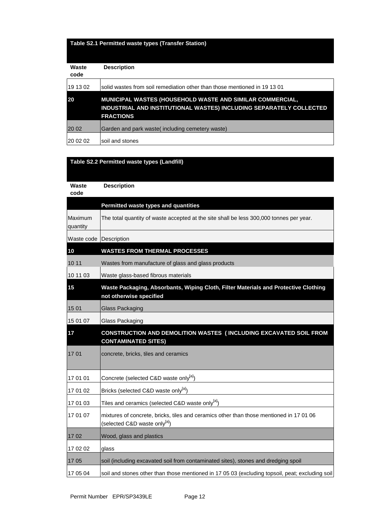### **Table S2.1 Permitted waste types (Transfer Station)**

| Waste<br>code | <b>Description</b>                                                                                                                                          |
|---------------|-------------------------------------------------------------------------------------------------------------------------------------------------------------|
| 19 13 02      | solid wastes from soil remediation other than those mentioned in 19 13 01                                                                                   |
| 20            | <b>MUNICIPAL WASTES (HOUSEHOLD WASTE AND SIMILAR COMMERCIAL,</b><br>INDUSTRIAL AND INSTITUTIONAL WASTES) INCLUDING SEPARATELY COLLECTED<br><b>FRACTIONS</b> |
| 20 02         | Garden and park waste (including cemetery waste)                                                                                                            |
| 20 02 02      | soil and stones                                                                                                                                             |

#### **Table S2.2 Permitted waste types (Landfill)**

| Waste<br>code          | <b>Description</b>                                                                                                                   |
|------------------------|--------------------------------------------------------------------------------------------------------------------------------------|
|                        | Permitted waste types and quantities                                                                                                 |
| Maximum<br>quantity    | The total quantity of waste accepted at the site shall be less 300,000 tonnes per year.                                              |
| Waste code Description |                                                                                                                                      |
| 10                     | <b>WASTES FROM THERMAL PROCESSES</b>                                                                                                 |
| 10 11                  | Wastes from manufacture of glass and glass products                                                                                  |
| 10 11 03               | Waste glass-based fibrous materials                                                                                                  |
| 15                     | Waste Packaging, Absorbants, Wiping Cloth, Filter Materials and Protective Clothing<br>not otherwise specified                       |
| 15 01                  | <b>Glass Packaging</b>                                                                                                               |
| 15 01 07               | <b>Glass Packaging</b>                                                                                                               |
| 17                     | CONSTRUCTION AND DEMOLITION WASTES (INCLUDING EXCAVATED SOIL FROM<br><b>CONTAMINATED SITES)</b>                                      |
| 1701                   | concrete, bricks, tiles and ceramics                                                                                                 |
| 17 01 01               | Concrete (selected C&D waste only[a])                                                                                                |
| 17 01 02               | Bricks (selected C&D waste only <sup>[a]</sup> )                                                                                     |
| 17 01 03               | Tiles and ceramics (selected C&D waste only <sup>[a]</sup> )                                                                         |
| 17 01 07               | mixtures of concrete, bricks, tiles and ceramics other than those mentioned in 17 01 06<br>(selected C&D waste only <sup>[a]</sup> ) |
| 1702                   | Wood, glass and plastics                                                                                                             |
| 17 02 02               | glass                                                                                                                                |
| 17 05                  | soil (including excavated soil from contaminated sites), stones and dredging spoil                                                   |
| 17 05 04               | soil and stones other than those mentioned in 17 05 03 (excluding topsoil, peat; excluding soil                                      |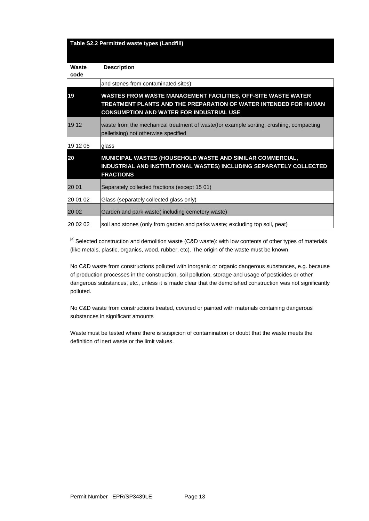|               | Table S2.2 Permitted waste types (Landfill)                                                                                                                                          |
|---------------|--------------------------------------------------------------------------------------------------------------------------------------------------------------------------------------|
| Waste<br>code | <b>Description</b>                                                                                                                                                                   |
|               | and stones from contaminated sites)                                                                                                                                                  |
| 19            | WASTES FROM WASTE MANAGEMENT FACILITIES, OFF-SITE WASTE WATER<br>TREATMENT PLANTS AND THE PREPARATION OF WATER INTENDED FOR HUMAN<br><b>CONSUMPTION AND WATER FOR INDUSTRIAL USE</b> |
| 19 12         | waste from the mechanical treatment of waste (for example sorting, crushing, compacting<br>pelletising) not otherwise specified                                                      |
| 19 12 05      | glass                                                                                                                                                                                |
| 20            | MUNICIPAL WASTES (HOUSEHOLD WASTE AND SIMILAR COMMERCIAL,<br>INDUSTRIAL AND INSTITUTIONAL WASTES) INCLUDING SEPARATELY COLLECTED<br><b>FRACTIONS</b>                                 |
| 20 01         | Separately collected fractions (except 15 01)                                                                                                                                        |
| 20 01 02      | Glass (separately collected glass only)                                                                                                                                              |
| 20 02         | Garden and park waste(including cemetery waste)                                                                                                                                      |
| 20 02 02      | soil and stones (only from garden and parks waste; excluding top soil, peat)                                                                                                         |

[a] Selected construction and demolition waste (C&D waste): with low contents of other types of materials (like metals, plastic, organics, wood, rubber, etc). The origin of the waste must be known.

No C&D waste from constructions polluted with inorganic or organic dangerous substances, e.g. because of production processes in the construction, soil pollution, storage and usage of pesticides or other dangerous substances, etc., unless it is made clear that the demolished construction was not significantly polluted.

No C&D waste from constructions treated, covered or painted with materials containing dangerous substances in significant amounts

Waste must be tested where there is suspicion of contamination or doubt that the waste meets the definition of inert waste or the limit values.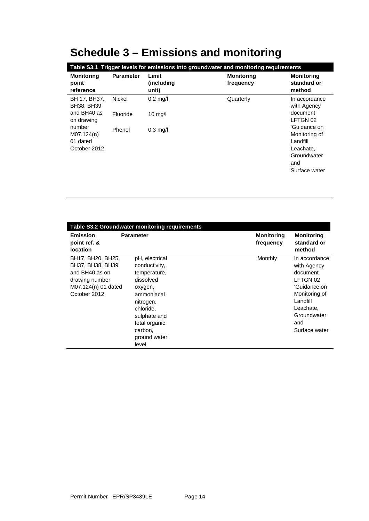# **Schedule 3 – Emissions and monitoring**

| Table S3.1 Trigger levels for emissions into groundwater and monitoring requirements |                  |                                      |                                |                                                                                               |
|--------------------------------------------------------------------------------------|------------------|--------------------------------------|--------------------------------|-----------------------------------------------------------------------------------------------|
| <b>Monitoring</b><br>point<br>reference                                              | <b>Parameter</b> | Limit<br><i>(including)</i><br>unit) | <b>Monitoring</b><br>frequency | <b>Monitoring</b><br>standard or<br>method                                                    |
| BH 17, BH37,<br>BH38, BH39                                                           | Nickel           | $0.2$ mg/l                           | Quarterly                      | In accordance<br>with Agency                                                                  |
| and BH40 as<br>on drawing                                                            | Fluoride         | $10 \text{ mg/l}$                    |                                | document<br>LFTGN 02                                                                          |
| number<br>M07.124(n)<br>01 dated<br>October 2012                                     | Phenol           | $0.3$ mg/l                           |                                | 'Guidance on<br>Monitoring of<br>Landfill<br>Leachate,<br>Groundwater<br>and<br>Surface water |

| Table S3.2 Groundwater monitoring requirements                                                                   |                                                                                                                                                                                       |                                |                                                                                                                                                       |
|------------------------------------------------------------------------------------------------------------------|---------------------------------------------------------------------------------------------------------------------------------------------------------------------------------------|--------------------------------|-------------------------------------------------------------------------------------------------------------------------------------------------------|
| <b>Emission</b><br>point ref. &<br><b>location</b>                                                               | <b>Parameter</b>                                                                                                                                                                      | <b>Monitoring</b><br>frequency | <b>Monitoring</b><br>standard or<br>method                                                                                                            |
| BH17, BH20, BH25,<br>BH37, BH38, BH39<br>and BH40 as on<br>drawing number<br>M07.124(n) 01 dated<br>October 2012 | pH, electrical<br>conductivity,<br>temperature,<br>dissolved<br>oxygen,<br>ammoniacal<br>nitrogen,<br>chloride,<br>sulphate and<br>total organic<br>carbon,<br>ground water<br>level. | Monthly                        | In accordance<br>with Agency<br>document<br>LFTGN 02<br>'Guidance on<br>Monitoring of<br>Landfill<br>Leachate,<br>Groundwater<br>and<br>Surface water |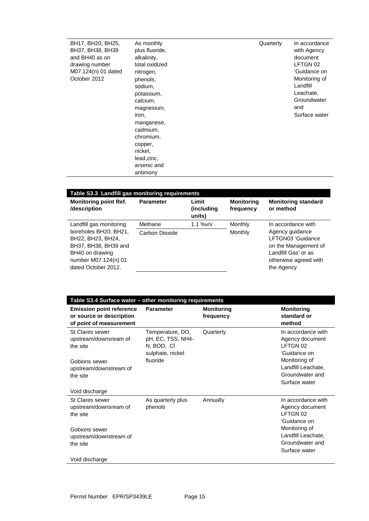| BH17, BH20, BH25,<br>BH37, BH38, BH39<br>and BH40 as on<br>drawing number<br>M07.124(n) 01 dated<br>October 2012 | As monthly<br>plus fluoride,<br>alkalinity,<br>total oxidized<br>nitrogen,<br>phenols,<br>sodium,<br>potassium,<br>calcium, | Quarterly | In accordance<br>with Agency<br>document<br>LFTGN 02<br>'Guidance on<br>Monitoring of<br>Landfill<br>Leachate,<br>Groundwater |
|------------------------------------------------------------------------------------------------------------------|-----------------------------------------------------------------------------------------------------------------------------|-----------|-------------------------------------------------------------------------------------------------------------------------------|
|                                                                                                                  |                                                                                                                             |           |                                                                                                                               |
|                                                                                                                  |                                                                                                                             |           |                                                                                                                               |
|                                                                                                                  |                                                                                                                             |           |                                                                                                                               |
|                                                                                                                  |                                                                                                                             |           |                                                                                                                               |
|                                                                                                                  |                                                                                                                             |           |                                                                                                                               |
|                                                                                                                  |                                                                                                                             |           |                                                                                                                               |
|                                                                                                                  |                                                                                                                             |           |                                                                                                                               |
|                                                                                                                  | magnesium,                                                                                                                  |           | and                                                                                                                           |
|                                                                                                                  | iron,                                                                                                                       |           | Surface water                                                                                                                 |
|                                                                                                                  | manganese,                                                                                                                  |           |                                                                                                                               |
|                                                                                                                  | cadmium,                                                                                                                    |           |                                                                                                                               |
|                                                                                                                  | chromium,                                                                                                                   |           |                                                                                                                               |
|                                                                                                                  | copper,                                                                                                                     |           |                                                                                                                               |
|                                                                                                                  | nickel,                                                                                                                     |           |                                                                                                                               |
|                                                                                                                  | lead, zinc,                                                                                                                 |           |                                                                                                                               |
|                                                                                                                  | arsenic and                                                                                                                 |           |                                                                                                                               |
|                                                                                                                  | antimony                                                                                                                    |           |                                                                                                                               |

| Table S3.3 Landfill gas monitoring requirements                                                                                                                 |                           |                               |                                |                                                                                                                                                  |
|-----------------------------------------------------------------------------------------------------------------------------------------------------------------|---------------------------|-------------------------------|--------------------------------|--------------------------------------------------------------------------------------------------------------------------------------------------|
| <b>Monitoring point Ref.</b><br>/description                                                                                                                    | <b>Parameter</b>          | Limit<br>(including<br>units) | <b>Monitoring</b><br>frequency | <b>Monitoring standard</b><br>or method                                                                                                          |
| Landfill gas monitoring<br>boreholes BH20, BH21,<br>BH22, BH23, BH24,<br>BH37, BH38, BH39 and<br>BH40 on drawing<br>number M07.124(n) 01<br>dated October 2012. | Methane<br>Carbon Dioxide | $1.1 %$ W/v                   | Monthly<br>Monthly             | In accordance with<br>Agency guidance<br>LFTGN03 'Guidance<br>on the Management of<br>Landfill Gas' or as<br>otherwise agreed with<br>the Agency |

| Table S3.4 Surface water - other monitoring requirements                               |                                                                         |                                |                                                                         |  |
|----------------------------------------------------------------------------------------|-------------------------------------------------------------------------|--------------------------------|-------------------------------------------------------------------------|--|
| <b>Emission point reference</b><br>or source or description<br>of point of measurement | <b>Parameter</b>                                                        | <b>Monitoring</b><br>frequency | <b>Monitoring</b><br>standard or<br>method                              |  |
| St Clares sewer<br>upstream/downsream of<br>the site                                   | Temperature, DO,<br>pH, EC, TSS, NH4-<br>N, BOD, CI<br>sulphate, nickel | Quarterly                      | In accordance with<br>Agency document<br>LFTGN 02<br>'Guidance on       |  |
| Gobions sewer<br>upstream/downstream of<br>the site                                    | fluoride                                                                |                                | Monitoring of<br>Landfill Leachate,<br>Groundwater and                  |  |
| Void discharge                                                                         |                                                                         |                                | Surface water                                                           |  |
| St Clares sewer<br>upstream/downsream of<br>the site                                   | As quarterly plus<br>phenols                                            | Annually                       | In accordance with<br>Agency document<br>LFTGN 02<br>'Guidance on       |  |
| Gobions sewer<br>upstream/downstream of<br>the site                                    |                                                                         |                                | Monitoring of<br>Landfill Leachate,<br>Groundwater and<br>Surface water |  |
| Void discharge                                                                         |                                                                         |                                |                                                                         |  |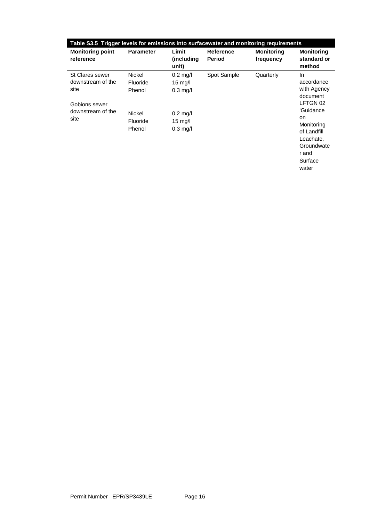| Table S3.5 Trigger levels for emissions into surfacewater and monitoring requirements      |                                                                            |                                                                            |                                   |                                |                                                                                                                                                                        |
|--------------------------------------------------------------------------------------------|----------------------------------------------------------------------------|----------------------------------------------------------------------------|-----------------------------------|--------------------------------|------------------------------------------------------------------------------------------------------------------------------------------------------------------------|
| <b>Monitoring point</b><br>reference                                                       | <b>Parameter</b>                                                           | Limit<br>(including)<br>unit)                                              | <b>Reference</b><br><b>Period</b> | <b>Monitoring</b><br>frequency | <b>Monitoring</b><br>standard or<br>method                                                                                                                             |
| St Clares sewer<br>downstream of the<br>site<br>Gobions sewer<br>downstream of the<br>site | <b>Nickel</b><br>Fluoride<br>Phenol<br><b>Nickel</b><br>Fluoride<br>Phenol | $0.2$ mg/l<br>15 mg/l<br>$0.3$ mg/l<br>$0.2$ mg/l<br>15 mg/l<br>$0.3$ mg/l | Spot Sample                       | Quarterly                      | In<br>accordance<br>with Agency<br>document<br>LFTGN 02<br>'Guidance<br><b>on</b><br>Monitoring<br>of Landfill<br>Leachate,<br>Groundwate<br>r and<br>Surface<br>water |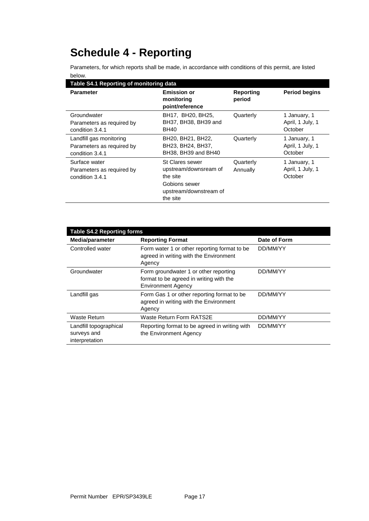# **Schedule 4 - Reporting**

Parameters, for which reports shall be made, in accordance with conditions of this permit, are listed below.

| Table S4.1 Reporting of monitoring data                                 |                                                                                                             |                            |                                             |  |
|-------------------------------------------------------------------------|-------------------------------------------------------------------------------------------------------------|----------------------------|---------------------------------------------|--|
| <b>Parameter</b>                                                        | <b>Emission or</b><br>monitoring<br>point/reference                                                         | <b>Reporting</b><br>period | <b>Period begins</b>                        |  |
| Groundwater<br>Parameters as required by<br>condition 3.4.1             | BH17, BH20, BH25,<br>BH37, BH38, BH39 and<br><b>BH40</b>                                                    | Quarterly                  | 1 January, 1<br>April, 1 July, 1<br>October |  |
| Landfill gas monitoring<br>Parameters as required by<br>condition 3.4.1 | BH20, BH21, BH22,<br>BH23, BH24, BH37,<br>BH38, BH39 and BH40                                               | Quarterly                  | 1 January, 1<br>April, 1 July, 1<br>October |  |
| Surface water<br>Parameters as required by<br>condition 3.4.1           | St Clares sewer<br>upstream/downsream of<br>the site<br>Gobions sewer<br>upstream/downstream of<br>the site | Quarterly<br>Annually      | 1 January, 1<br>April, 1 July, 1<br>October |  |

| <b>Table S4.2 Reporting forms</b>                       |                                                                                                               |              |  |  |
|---------------------------------------------------------|---------------------------------------------------------------------------------------------------------------|--------------|--|--|
| Media/parameter                                         | <b>Reporting Format</b>                                                                                       | Date of Form |  |  |
| Controlled water                                        | Form water 1 or other reporting format to be.<br>agreed in writing with the Environment<br>Agency             | DD/MM/YY     |  |  |
| Groundwater                                             | Form groundwater 1 or other reporting<br>format to be agreed in writing with the<br><b>Environment Agency</b> | DD/MM/YY     |  |  |
| Landfill gas                                            | Form Gas 1 or other reporting format to be<br>agreed in writing with the Environment<br>Agency                | DD/MM/YY     |  |  |
| Waste Return                                            | Waste Return Form RATS2E                                                                                      | DD/MM/YY     |  |  |
| Landfill topographical<br>surveys and<br>interpretation | Reporting format to be agreed in writing with<br>the Environment Agency                                       | DD/MM/YY     |  |  |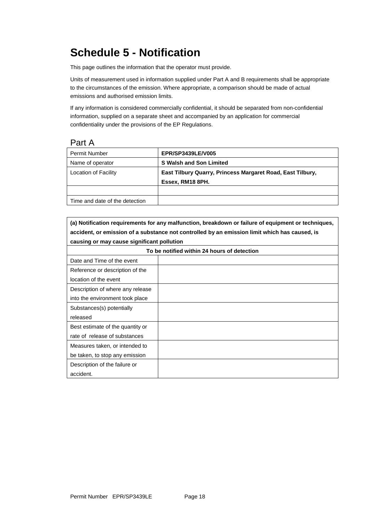# **Schedule 5 - Notification**

This page outlines the information that the operator must provide.

Units of measurement used in information supplied under Part A and B requirements shall be appropriate to the circumstances of the emission. Where appropriate, a comparison should be made of actual emissions and authorised emission limits.

If any information is considered commercially confidential, it should be separated from non-confidential information, supplied on a separate sheet and accompanied by an application for commercial confidentiality under the provisions of the EP Regulations.

Part A

| Permit Number                  | <b>EPR/SP3439LE/V005</b>                                   |
|--------------------------------|------------------------------------------------------------|
| Name of operator               | <b>S Walsh and Son Limited</b>                             |
| Location of Facility           | East Tilbury Quarry, Princess Margaret Road, East Tilbury, |
|                                | Essex, RM18 8PH.                                           |
|                                |                                                            |
| Time and date of the detection |                                                            |

**(a) Notification requirements for any malfunction, breakdown or failure of equipment or techniques, accident, or emission of a substance not controlled by an emission limit which has caused, is causing or may cause significant pollution**

| To be notified within 24 hours of detection |  |  |
|---------------------------------------------|--|--|
| Date and Time of the event                  |  |  |
| Reference or description of the             |  |  |
| location of the event                       |  |  |
| Description of where any release            |  |  |
| into the environment took place             |  |  |
| Substances(s) potentially                   |  |  |
| released                                    |  |  |
| Best estimate of the quantity or            |  |  |
| rate of release of substances               |  |  |
| Measures taken, or intended to              |  |  |
| be taken, to stop any emission              |  |  |
| Description of the failure or               |  |  |
| accident.                                   |  |  |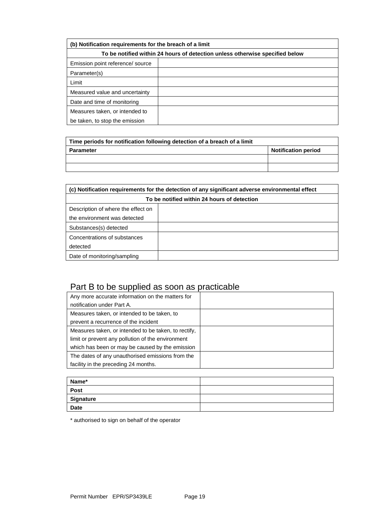| (b) Notification requirements for the breach of a limit                      |  |  |  |
|------------------------------------------------------------------------------|--|--|--|
| To be notified within 24 hours of detection unless otherwise specified below |  |  |  |
| Emission point reference/source                                              |  |  |  |
| Parameter(s)                                                                 |  |  |  |
| Limit                                                                        |  |  |  |
| Measured value and uncertainty                                               |  |  |  |
| Date and time of monitoring                                                  |  |  |  |
| Measures taken, or intended to                                               |  |  |  |
| be taken, to stop the emission                                               |  |  |  |

| Time periods for notification following detection of a breach of a limit |                            |  |
|--------------------------------------------------------------------------|----------------------------|--|
| Parameter                                                                | <b>Notification period</b> |  |
|                                                                          |                            |  |
|                                                                          |                            |  |

| (c) Notification requirements for the detection of any significant adverse environmental effect |  |  |
|-------------------------------------------------------------------------------------------------|--|--|
| To be notified within 24 hours of detection                                                     |  |  |
| Description of where the effect on                                                              |  |  |
| the environment was detected                                                                    |  |  |
| Substances(s) detected                                                                          |  |  |
| Concentrations of substances                                                                    |  |  |
| detected                                                                                        |  |  |
| Date of monitoring/sampling                                                                     |  |  |

## Part B to be supplied as soon as practicable

| Any more accurate information on the matters for     |  |
|------------------------------------------------------|--|
| notification under Part A.                           |  |
| Measures taken, or intended to be taken, to          |  |
| prevent a recurrence of the incident                 |  |
| Measures taken, or intended to be taken, to rectify, |  |
| limit or prevent any pollution of the environment    |  |
| which has been or may be caused by the emission      |  |
| The dates of any unauthorised emissions from the     |  |
| facility in the preceding 24 months.                 |  |

| Name*            |  |
|------------------|--|
| <b>Post</b>      |  |
| <b>Signature</b> |  |
| <b>Date</b>      |  |

\* authorised to sign on behalf of the operator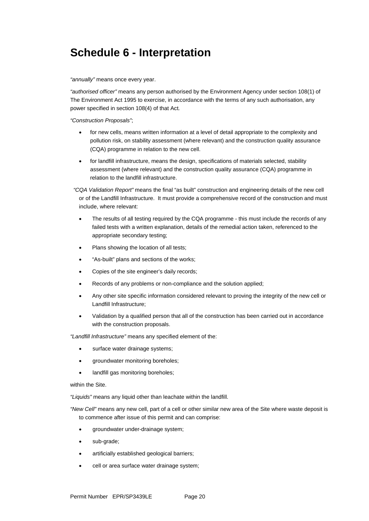## **Schedule 6 - Interpretation**

*"annually"* means once every year.

*"authorised officer"* means any person authorised by the Environment Agency under section 108(1) of The Environment Act 1995 to exercise, in accordance with the terms of any such authorisation, any power specified in section 108(4) of that Act*.*

*"Construction Proposals"*;

- for new cells, means written information at a level of detail appropriate to the complexity and pollution risk, on stability assessment (where relevant) and the construction quality assurance (CQA) programme in relation to the new cell.
- for landfill infrastructure, means the design, specifications of materials selected, stability assessment (where relevant) and the construction quality assurance (CQA) programme in relation to the landfill infrastructure.

*"CQA Validation Report"* means the final "as built" construction and engineering details of the new cell or of the Landfill Infrastructure. It must provide a comprehensive record of the construction and must include, where relevant:

- The results of all testing required by the CQA programme this must include the records of any failed tests with a written explanation, details of the remedial action taken, referenced to the appropriate secondary testing;
- Plans showing the location of all tests;
- "As-built" plans and sections of the works;
- Copies of the site engineer's daily records;
- Records of any problems or non-compliance and the solution applied;
- Any other site specific information considered relevant to proving the integrity of the new cell or Landfill Infrastructure;
- Validation by a qualified person that all of the construction has been carried out in accordance with the construction proposals.

*"Landfill Infrastructure"* means any specified element of the:

- surface water drainage systems;
- groundwater monitoring boreholes;
- landfill gas monitoring boreholes;

within the Site.

*"Liquids"* means any liquid other than leachate within the landfill.

*"New Cell"* means any new cell, part of a cell or other similar new area of the Site where waste deposit is to commence after issue of this permit and can comprise:

- groundwater under-drainage system;
- sub-grade;
- artificially established geological barriers;
- cell or area surface water drainage system;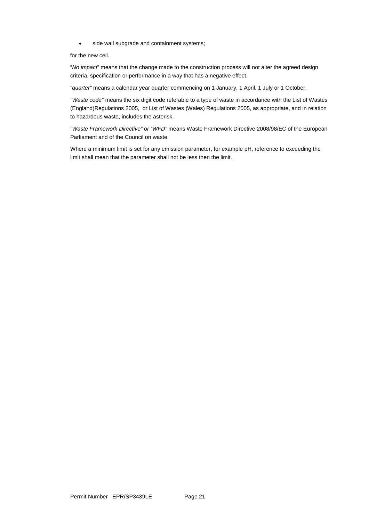• side wall subgrade and containment systems;

for the new cell.

"*No impact*" means that the change made to the construction process will not alter the agreed design criteria, specification or performance in a way that has a negative effect.

*"quarter"* means a calendar year quarter commencing on 1 January, 1 April, 1 July or 1 October.

*"Waste code"* means the six digit code referable to a type of waste in accordance with the List of Wastes (England)Regulations 2005, or List of Wastes (Wales) Regulations 2005, as appropriate, and in relation to hazardous waste, includes the asterisk.

*"Waste Framework Directive" or "WFD"* means Waste Framework Directive 2008/98/EC of the European Parliament and of the Council on waste.

Where a minimum limit is set for any emission parameter, for example pH, reference to exceeding the limit shall mean that the parameter shall not be less then the limit.